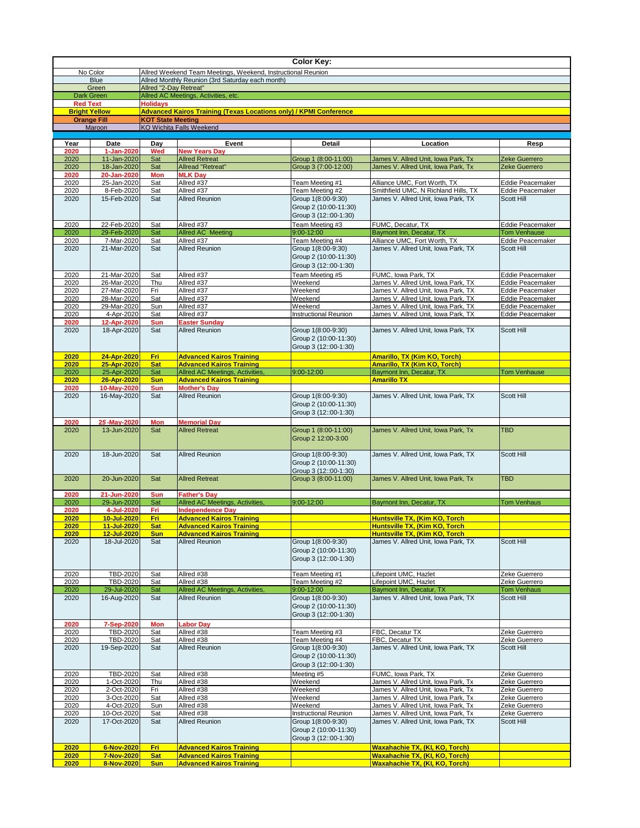|                      |                                            |                                                                            |                                                                          | <b>Color Key:</b>                                                    |                                                                                |                                             |  |  |  |
|----------------------|--------------------------------------------|----------------------------------------------------------------------------|--------------------------------------------------------------------------|----------------------------------------------------------------------|--------------------------------------------------------------------------------|---------------------------------------------|--|--|--|
|                      | No Color                                   | Allred Weekend Team Meetings, Weekend, Instructional Reunion               |                                                                          |                                                                      |                                                                                |                                             |  |  |  |
| <b>Blue</b><br>Green |                                            | Allred Monthly Reunion (3rd Saturday each month)<br>Allred "2-Day Retreat" |                                                                          |                                                                      |                                                                                |                                             |  |  |  |
| <b>Dark Green</b>    |                                            | Allred AC Meetings, Activities, etc.                                       |                                                                          |                                                                      |                                                                                |                                             |  |  |  |
| <b>Red Text</b>      |                                            | <b>Holidays</b>                                                            |                                                                          |                                                                      |                                                                                |                                             |  |  |  |
|                      | <b>Bright Yellow</b><br><b>Orange Fill</b> | <b>KOT State Meeting</b>                                                   | <b>Advanced Kairos Training (Texas Locations only) / KPMI Conference</b> |                                                                      |                                                                                |                                             |  |  |  |
|                      | Maroon                                     |                                                                            | <b>KO Wichita Falls Weekend</b>                                          |                                                                      |                                                                                |                                             |  |  |  |
|                      |                                            |                                                                            |                                                                          |                                                                      |                                                                                |                                             |  |  |  |
| Year<br>2020         | <b>Date</b><br>1-Jan-2020                  | Day<br><b>Wed</b>                                                          | Event<br><b>New Years Day</b>                                            | <b>Detail</b>                                                        | Location                                                                       | <b>Resp</b>                                 |  |  |  |
| 2020                 | 11-Jan-2020                                | Sat                                                                        | <b>Allred Retreat</b>                                                    | Group 1 (8:00-11:00)                                                 | James V. Allred Unit, Iowa Park, Tx                                            | Zeke Guerrero                               |  |  |  |
| 2020                 | 18-Jan-2020                                | Sat                                                                        | Allread "Retreat"                                                        | Group 3 (7:00-12:00)                                                 | James V. Allred Unit, Iowa Park, Tx                                            | Zeke Guerrero                               |  |  |  |
| 2020<br>2020         | 20-Jan-2020<br>25-Jan-2020                 | <b>Mon</b><br>Sat                                                          | <b>MLK Day</b><br>Allred #37                                             | Team Meeting #1                                                      | Alliance UMC, Fort Worth, TX                                                   | Eddie Peacemaker                            |  |  |  |
| 2020                 | 8-Feb-2020                                 | Sat                                                                        | Allred #37                                                               | Team Meeting #2                                                      | Smithfield UMC, N Richland Hills, TX                                           | Eddie Peacemaker                            |  |  |  |
| 2020                 | 15-Feb-2020                                | Sat                                                                        | <b>Allred Reunion</b>                                                    | Group 1(8:00-9:30)<br>Group 2 (10:00-11:30)<br>Group 3 (12::00-1:30) | James V. Allred Unit, Iowa Park, TX                                            | <b>Scott Hill</b>                           |  |  |  |
| 2020                 | 22-Feb-2020                                | Sat                                                                        | Allred #37                                                               | Team Meeting #3                                                      | FUMC, Decatur, TX                                                              | Eddie Peacemaker                            |  |  |  |
| 2020                 | 29-Feb-2020                                | Sat                                                                        | <b>Allred AC Meeting</b>                                                 | 9:00-12:00                                                           | Baymont Inn, Decatur, TX                                                       | <b>Tom Venhause</b>                         |  |  |  |
| 2020                 | 7-Mar-2020                                 | Sat                                                                        | Allred #37                                                               | Team Meeting #4                                                      | Alliance UMC, Fort Worth, TX                                                   | <b>Eddie Peacemaker</b>                     |  |  |  |
| 2020                 | 21-Mar-2020                                | Sat                                                                        | <b>Allred Reunion</b>                                                    | Group 1(8:00-9:30)<br>Group 2 (10:00-11:30)<br>Group 3 (12::00-1:30) | James V. Allred Unit, Iowa Park, TX                                            | <b>Scott Hill</b>                           |  |  |  |
| 2020<br>2020         | 21-Mar-2020<br>26-Mar-2020                 | Sat<br>Thu                                                                 | Allred #37<br>Allred #37                                                 | Team Meeting #5<br>Weekend                                           | FUMC, Iowa Park, TX<br>James V. Allred Unit, Iowa Park, TX                     | Eddie Peacemaker<br><b>Eddie Peacemaker</b> |  |  |  |
| 2020                 | 27-Mar-2020                                | Fri                                                                        | Allred #37                                                               | Weekend                                                              | James V. Allred Unit, Iowa Park, TX                                            | <b>Eddie Peacemaker</b>                     |  |  |  |
| 2020                 | 28-Mar-2020                                | Sat                                                                        | Allred #37                                                               | Weekend                                                              | James V. Allred Unit, Iowa Park, TX                                            | Eddie Peacemaker                            |  |  |  |
| 2020                 | 29-Mar-2020                                | Sun                                                                        | Allred #37                                                               | Weekend                                                              | James V. Allred Unit, Iowa Park, TX                                            | Eddie Peacemaker                            |  |  |  |
| 2020<br>2020         | 4-Apr-2020<br>12-Apr-2020                  | Sat<br><b>Sun</b>                                                          | Allred #37<br><b>Easter Sunday</b>                                       | <b>Instructional Reunion</b>                                         | James V. Allred Unit, Iowa Park, TX                                            | Eddie Peacemaker                            |  |  |  |
| 2020                 | 18-Apr-2020                                | Sat                                                                        | <b>Allred Reunion</b>                                                    | Group 1(8:00-9:30)<br>Group 2 (10:00-11:30)<br>Group 3 (12::00-1:30) | James V. Allred Unit, Iowa Park, TX                                            | Scott Hill                                  |  |  |  |
| 2020                 | 24-Apr-2020                                | <b>Fri</b>                                                                 | <b>Advanced Kairos Training</b>                                          |                                                                      | <b>Amarillo, TX (Kim KO, Torch)</b>                                            |                                             |  |  |  |
| 2020<br>2020         | 25-Apr-2020<br>25-Apr-2020                 | <b>Sat</b><br>Sat                                                          | <b>Advanced Kairos Training</b><br>Allred AC Meetings, Activities,       | 9:00-12:00                                                           | <b>Amarillo, TX (Kim KO, Torch)</b><br>Baymont Inn, Decatur, TX                | <b>Tom Venhause</b>                         |  |  |  |
| 2020                 | 26-Apr-2020                                | <b>Sun</b>                                                                 | <b>Advanced Kairos Training</b>                                          |                                                                      | <b>Amarillo TX</b>                                                             |                                             |  |  |  |
| 2020                 | 10-May-2020                                | <b>Sun</b>                                                                 | <b>Mother's Day</b>                                                      |                                                                      |                                                                                |                                             |  |  |  |
| 2020                 | 16-May-2020                                | Sat                                                                        | <b>Allred Reunion</b>                                                    | Group 1(8:00-9:30)<br>Group 2 (10:00-11:30)<br>Group 3 (12::00-1:30) | James V. Allred Unit, Iowa Park, TX                                            | Scott Hill                                  |  |  |  |
| 2020<br>2020         | 25-May-2020<br>13-Jun-2020                 | <b>Mon</b><br>Sat                                                          | <b>Memorial Day</b><br><b>Allred Retreat</b>                             | Group 1 (8:00-11:00)<br>Group 2 12:00-3:00                           | James V. Allred Unit, Iowa Park, Tx                                            | <b>TBD</b>                                  |  |  |  |
| 2020                 | 18-Jun-2020                                | Sat                                                                        | <b>Allred Reunion</b>                                                    | Group 1(8:00-9:30)<br>Group 2 (10:00-11:30)<br>Group 3 (12::00-1:30) | James V. Allred Unit, Iowa Park, TX                                            | Scott Hill                                  |  |  |  |
| 2020                 | 20-Jun-2020                                | Sat                                                                        | <b>Allred Retreat</b>                                                    | Group 3 (8:00-11:00)                                                 | James V. Allred Unit, Iowa Park, Tx                                            | <b>TBD</b>                                  |  |  |  |
| 2020<br>2020         | 21-Jun-2020<br>29-Jun-2020                 | <b>Sun</b><br>Sat                                                          | <b>Father's Day</b><br>Allred AC Meetings, Activities,                   | 9:00-12:00                                                           | Baymont Inn, Decatur, TX                                                       | <b>Tom Venhaus</b>                          |  |  |  |
| 2020                 | 4-Jul-2020                                 | Fri                                                                        | <b>Independence Day</b>                                                  |                                                                      |                                                                                |                                             |  |  |  |
| 2020                 | 10-Jul-2020                                | <b>Fri</b>                                                                 | <b>Advanced Kairos Training</b>                                          |                                                                      | <b>Huntsville TX, (Kim KO, Torch</b>                                           |                                             |  |  |  |
| 2020<br>2020         | 11-Jul-2020<br>12-Jul-2020                 | <b>Sat</b><br><b>Sun</b>                                                   | <b>Advanced Kairos Training</b><br><b>Advanced Kairos Training</b>       |                                                                      | <b>Huntsville TX, (Kim KO, Torch</b><br>Huntsville TX, (Kim KO, Torch          |                                             |  |  |  |
| 2020                 | 18-Jul-2020                                | Sat                                                                        | <b>Allred Reunion</b>                                                    | Group 1(8:00-9:30)<br>Group 2 (10:00-11:30)<br>Group 3 (12::00-1:30) | James V. Allred Unit, Iowa Park, TX                                            | Scott Hill                                  |  |  |  |
| 2020                 | <b>TBD-2020</b>                            | Sat                                                                        | Allred #38                                                               | Team Meeting #1                                                      | Lifepoint UMC, Hazlet                                                          | Zeke Guerrero                               |  |  |  |
| 2020<br>2020         | <b>TBD-2020</b><br>29-Jul-2020             | Sat<br>Sat                                                                 | Allred #38<br>Allred AC Meetings, Activities,                            | Team Meeting #2<br>9:00-12:00                                        | Lifepoint UMC, Hazlet<br>Baymont Inn, Decatur, TX                              | Zeke Guerrero<br><b>Tom Venhaus</b>         |  |  |  |
| 2020                 | 16-Aug-2020                                | Sat                                                                        | <b>Allred Reunion</b>                                                    | Group 1(8:00-9:30)<br>Group 2 (10:00-11:30)<br>Group 3 (12::00-1:30) | James V. Allred Unit, Iowa Park, TX                                            | <b>Scott Hill</b>                           |  |  |  |
| 2020<br>2020         | 7-Sep-2020<br><b>TBD-2020</b>              | <b>Mon</b><br>Sat                                                          | <b>Labor Day</b><br>Allred #38                                           | Team Meeting #3                                                      | FBC, Decatur TX                                                                | Zeke Guerrero                               |  |  |  |
| 2020                 | <b>TBD-2020</b>                            | Sat                                                                        | Allred #38                                                               | Team Meeting #4                                                      | FBC, Decatur TX                                                                | Zeke Guerrero                               |  |  |  |
| 2020                 | 19-Sep-2020                                | Sat                                                                        | <b>Allred Reunion</b>                                                    | Group 1(8:00-9:30)<br>Group 2 (10:00-11:30)<br>Group 3 (12::00-1:30) | James V. Allred Unit, Iowa Park, TX                                            | Scott Hill                                  |  |  |  |
| 2020                 | <b>TBD-2020</b>                            | Sat                                                                        | Allred #38                                                               | Meeting #5                                                           | FUMC, Iowa Park, TX<br>James V. Allred Unit, Iowa Park, Tx                     | Zeke Guerrero                               |  |  |  |
| 2020<br>2020         | 1-Oct-2020<br>2-Oct-2020                   | Thu<br>Fri                                                                 | Allred #38<br>Allred #38                                                 | Weekend<br>Weekend                                                   | James V. Allred Unit, Iowa Park, Tx                                            | Zeke Guerrero<br>Zeke Guerrero              |  |  |  |
| 2020                 | 3-Oct-2020                                 | Sat                                                                        | Allred #38                                                               | Weekend                                                              | James V. Allred Unit, Iowa Park, Tx                                            | Zeke Guerrero                               |  |  |  |
| 2020                 | 4-Oct-2020                                 | Sun                                                                        | Allred #38                                                               | Weekend                                                              | James V. Allred Unit, Iowa Park, Tx                                            | Zeke Guerrero                               |  |  |  |
| 2020                 | 10-Oct-2020                                | Sat                                                                        | Allred #38                                                               | Instructional Reunion                                                | James V. Allred Unit, Iowa Park, Tx                                            | Zeke Guerrero                               |  |  |  |
| 2020                 | 17-Oct-2020                                | Sat                                                                        | <b>Allred Reunion</b>                                                    | Group 1(8:00-9:30)<br>Group 2 (10:00-11:30)<br>Group 3 (12::00-1:30) | James V. Allred Unit, Iowa Park, TX                                            | Scott Hill                                  |  |  |  |
| 2020                 | 6-Nov-2020                                 | <b>Fri</b>                                                                 | <b>Advanced Kairos Training</b>                                          |                                                                      | <b>Waxahachie TX, (KI, KO, Torch)</b>                                          |                                             |  |  |  |
| 2020<br>2020         | 7-Nov-2020<br>8-Nov-2020                   | <b>Sat</b><br><b>Sun</b>                                                   | <b>Advanced Kairos Training</b><br><b>Advanced Kairos Training</b>       |                                                                      | <b>Waxahachie TX, (KI, KO, Torch)</b><br><b>Waxahachie TX, (KI, KO, Torch)</b> |                                             |  |  |  |